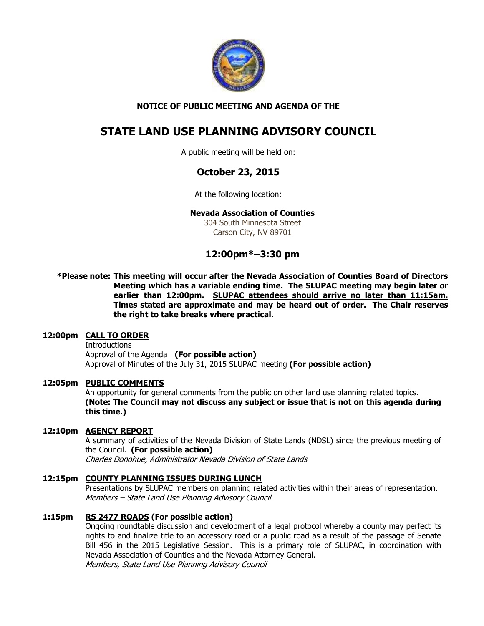

## **NOTICE OF PUBLIC MEETING AND AGENDA OF THE**

# **STATE LAND USE PLANNING ADVISORY COUNCIL**

A public meeting will be held on:

# **October 23, 2015**

At the following location:

### **Nevada Association of Counties**

304 South Minnesota Street Carson City, NV 89701

# **12:00pm\*–3:30 pm**

**\*Please note: This meeting will occur after the Nevada Association of Counties Board of Directors Meeting which has a variable ending time. The SLUPAC meeting may begin later or earlier than 12:00pm. SLUPAC attendees should arrive no later than 11:15am. Times stated are approximate and may be heard out of order. The Chair reserves the right to take breaks where practical.** 

### **12:00pm CALL TO ORDER**

**Introductions**  Approval of the Agenda **(For possible action)** Approval of Minutes of the July 31, 2015 SLUPAC meeting **(For possible action)** 

### **12:05pm PUBLIC COMMENTS**

An opportunity for general comments from the public on other land use planning related topics. **(Note: The Council may not discuss any subject or issue that is not on this agenda during this time.)** 

### **12:10pm AGENCY REPORT**

A summary of activities of the Nevada Division of State Lands (NDSL) since the previous meeting of the Council. **(For possible action)** Charles Donohue, Administrator Nevada Division of State Lands

### **12:15pm COUNTY PLANNING ISSUES DURING LUNCH**

Presentations by SLUPAC members on planning related activities within their areas of representation. Members – State Land Use Planning Advisory Council

### **1:15pm RS 2477 ROADS (For possible action)**

 Ongoing roundtable discussion and development of a legal protocol whereby a county may perfect its rights to and finalize title to an accessory road or a public road as a result of the passage of Senate Bill 456 in the 2015 Legislative Session. This is a primary role of SLUPAC, in coordination with Nevada Association of Counties and the Nevada Attorney General. Members, State Land Use Planning Advisory Council